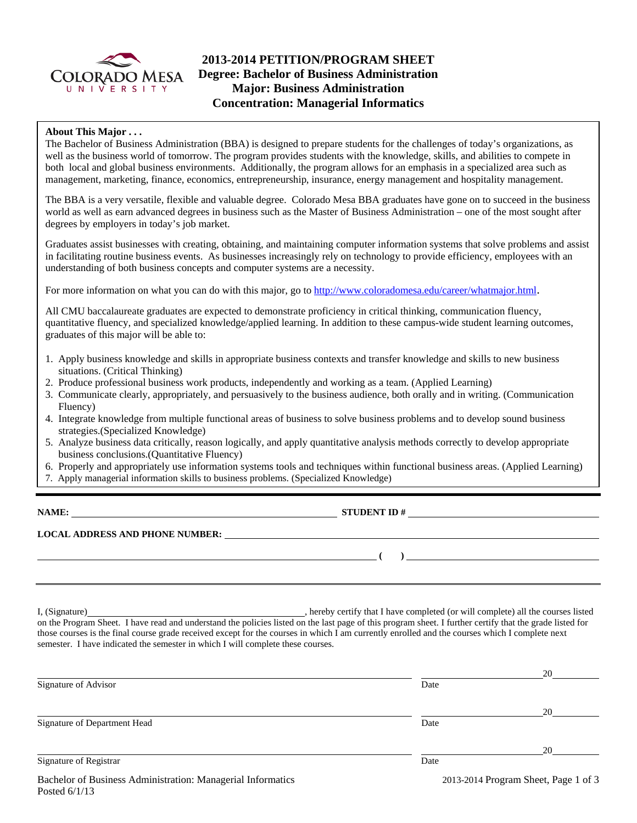

# **2013-2014 PETITION/PROGRAM SHEET Degree: Bachelor of Business Administration Major: Business Administration Concentration: Managerial Informatics**

### **About This Major . . .**

The Bachelor of Business Administration (BBA) is designed to prepare students for the challenges of today's organizations, as well as the business world of tomorrow. The program provides students with the knowledge, skills, and abilities to compete in both local and global business environments. Additionally, the program allows for an emphasis in a specialized area such as management, marketing, finance, economics, entrepreneurship, insurance, energy management and hospitality management.

The BBA is a very versatile, flexible and valuable degree. Colorado Mesa BBA graduates have gone on to succeed in the business world as well as earn advanced degrees in business such as the Master of Business Administration – one of the most sought after degrees by employers in today's job market.

Graduates assist businesses with creating, obtaining, and maintaining computer information systems that solve problems and assist in facilitating routine business events. As businesses increasingly rely on technology to provide efficiency, employees with an understanding of both business concepts and computer systems are a necessity.

For more information on what you can do with this major, go to http://www.coloradomesa.edu/career/whatmajor.html.

All CMU baccalaureate graduates are expected to demonstrate proficiency in critical thinking, communication fluency, quantitative fluency, and specialized knowledge/applied learning. In addition to these campus-wide student learning outcomes, graduates of this major will be able to:

- 1. Apply business knowledge and skills in appropriate business contexts and transfer knowledge and skills to new business situations. (Critical Thinking)
- 2. Produce professional business work products, independently and working as a team. (Applied Learning)
- 3. Communicate clearly, appropriately, and persuasively to the business audience, both orally and in writing. (Communication Fluency)
- 4. Integrate knowledge from multiple functional areas of business to solve business problems and to develop sound business strategies.(Specialized Knowledge)
- 5. Analyze business data critically, reason logically, and apply quantitative analysis methods correctly to develop appropriate business conclusions.(Quantitative Fluency)
- 6. Properly and appropriately use information systems tools and techniques within functional business areas. (Applied Learning)
- 7. Apply managerial information skills to business problems. (Specialized Knowledge)

**NAMES IN STUDENT ID #** 

 **(** ) <u> **(** ) **d** ( ) **i** ( ) **i** ( ) **i** ( ) **i** ( ) **i** ( ) **i** ( ) **i** ( ) **i** ( ) **i** ( ) **i** ( ) **i** ( ) **i** ( ) **i** ( ) **i** ( ) **i** ( ) **i** ( ) **i** ( ) **i** ( ) **i** ( ) **i** ( ) **i** ( ) **i** ( ) **i** ( ) **i** ( ) **i** ( )</u>

**LOCAL ADDRESS AND PHONE NUMBER:**

I, (Signature) , hereby certify that I have completed (or will complete) all the courses listed on the Program Sheet. I have read and understand the policies listed on the last page of this program sheet. I further certify that the grade listed for those courses is the final course grade received except for the courses in which I am currently enrolled and the courses which I complete next semester. I have indicated the semester in which I will complete these courses.

|                              |      | 20        |
|------------------------------|------|-----------|
| Signature of Advisor         | Date |           |
|                              |      | 20        |
| Signature of Department Head | Date |           |
|                              |      | 20        |
| Signature of Registrar       | Date |           |
|                              |      | ____<br>. |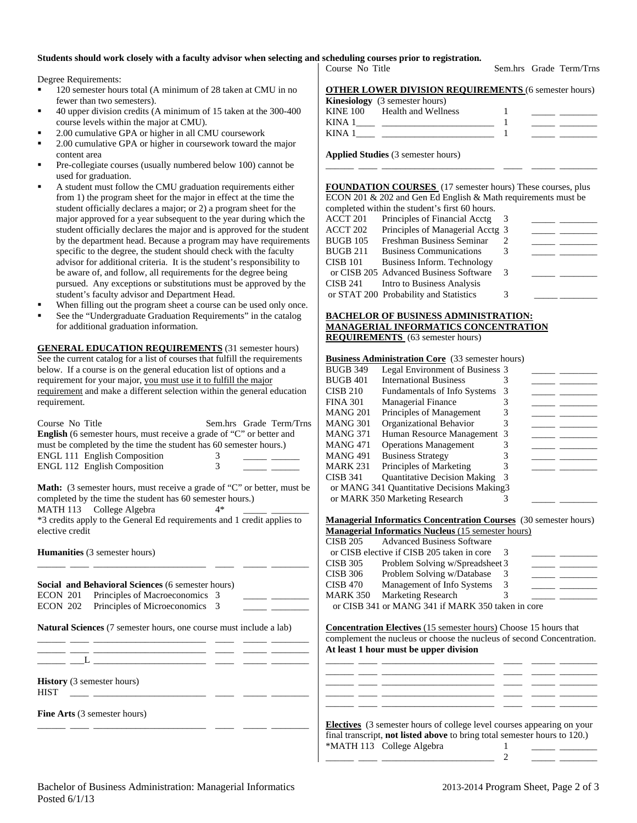## **Students should work closely with a faculty advisor when selecting and scheduling courses prior to registration.**

Degree Requirements:

- <sup>120</sup> semester hours total (A minimum of 28 taken at CMU in no fewer than two semesters).
- 40 upper division credits (A minimum of 15 taken at the 300-400 course levels within the major at CMU).
- 2.00 cumulative GPA or higher in all CMU coursework
- 2.00 cumulative GPA or higher in coursework toward the major content area
- Pre-collegiate courses (usually numbered below 100) cannot be used for graduation.
- A student must follow the CMU graduation requirements either from 1) the program sheet for the major in effect at the time the student officially declares a major; or 2) a program sheet for the major approved for a year subsequent to the year during which the student officially declares the major and is approved for the student by the department head. Because a program may have requirements specific to the degree, the student should check with the faculty advisor for additional criteria. It is the student's responsibility to be aware of, and follow, all requirements for the degree being pursued. Any exceptions or substitutions must be approved by the student's faculty advisor and Department Head.
- When filling out the program sheet a course can be used only once.
- See the "Undergraduate Graduation Requirements" in the catalog for additional graduation information.

**GENERAL EDUCATION REQUIREMENTS** (31 semester hours) See the current catalog for a list of courses that fulfill the requirements below. If a course is on the general education list of options and a requirement for your major, you must use it to fulfill the major requirement and make a different selection within the general education requirement.

|                                                                                                                                                                                                                                                                                                                                                                                                                                                                                                             | <b>NIATAO ZOT</b><br>I HIIUIPIUS OI IVIAHAGUHUH<br>J                                                                                                 |
|-------------------------------------------------------------------------------------------------------------------------------------------------------------------------------------------------------------------------------------------------------------------------------------------------------------------------------------------------------------------------------------------------------------------------------------------------------------------------------------------------------------|------------------------------------------------------------------------------------------------------------------------------------------------------|
| Course No Title<br>Sem.hrs Grade Term/Trns                                                                                                                                                                                                                                                                                                                                                                                                                                                                  | <b>MANG 301</b><br>Organizational Behavior<br>3<br><u> 1989 - John Stone, mars et al.</u>                                                            |
| English (6 semester hours, must receive a grade of "C" or better and                                                                                                                                                                                                                                                                                                                                                                                                                                        | Human Resource Management 3<br><b>MANG 371</b>                                                                                                       |
| must be completed by the time the student has 60 semester hours.)                                                                                                                                                                                                                                                                                                                                                                                                                                           | <b>MANG 471</b><br><b>Operations Management</b><br><u> 1989 - John Barn Barn, amerikansk politiker (</u>                                             |
| ENGL 111 English Composition<br>3                                                                                                                                                                                                                                                                                                                                                                                                                                                                           | <b>Business Strategy</b><br><b>MANG 491</b><br>3                                                                                                     |
| ENGL 112 English Composition<br>3                                                                                                                                                                                                                                                                                                                                                                                                                                                                           | Principles of Marketing<br><b>MARK 231</b>                                                                                                           |
|                                                                                                                                                                                                                                                                                                                                                                                                                                                                                                             | <b>CISB 341</b><br><b>Quantitative Decision Making</b>                                                                                               |
| Math: (3 semester hours, must receive a grade of "C" or better, must be                                                                                                                                                                                                                                                                                                                                                                                                                                     | or MANG 341 Quantitative Decisions Making3                                                                                                           |
| completed by the time the student has 60 semester hours.)                                                                                                                                                                                                                                                                                                                                                                                                                                                   | or MARK 350 Marketing Research<br>3                                                                                                                  |
| MATH 113 College Algebra<br>$4*$                                                                                                                                                                                                                                                                                                                                                                                                                                                                            |                                                                                                                                                      |
| *3 credits apply to the General Ed requirements and 1 credit applies to                                                                                                                                                                                                                                                                                                                                                                                                                                     | <b>Managerial Informatics Concentration Courses</b> (30 semester hours)                                                                              |
| elective credit                                                                                                                                                                                                                                                                                                                                                                                                                                                                                             | <b>Managerial Informatics Nucleus (15 semester hours)</b>                                                                                            |
|                                                                                                                                                                                                                                                                                                                                                                                                                                                                                                             | <b>CISB 205</b><br><b>Advanced Business Software</b>                                                                                                 |
| <b>Humanities</b> (3 semester hours)                                                                                                                                                                                                                                                                                                                                                                                                                                                                        | or CISB elective if CISB 205 taken in core<br>3                                                                                                      |
|                                                                                                                                                                                                                                                                                                                                                                                                                                                                                                             | <b>CISB 305</b><br>Problem Solving w/Spreadsheet 3<br>$\overline{\phantom{a}}$                                                                       |
|                                                                                                                                                                                                                                                                                                                                                                                                                                                                                                             | Problem Solving w/Database<br><b>CISB 306</b><br>3<br><u> 1989 - Johann Barnett, francuski politik (</u>                                             |
| Social and Behavioral Sciences (6 semester hours)                                                                                                                                                                                                                                                                                                                                                                                                                                                           | Management of Info Systems<br><b>CISB 470</b><br>3                                                                                                   |
| Principles of Macroeconomics 3<br><b>ECON 201</b>                                                                                                                                                                                                                                                                                                                                                                                                                                                           | <b>Marketing Research</b><br><b>MARK 350</b><br>3                                                                                                    |
| <b>ECON 202</b><br>Principles of Microeconomics 3                                                                                                                                                                                                                                                                                                                                                                                                                                                           | or CISB 341 or MANG 341 if MARK 350 taken in core                                                                                                    |
|                                                                                                                                                                                                                                                                                                                                                                                                                                                                                                             |                                                                                                                                                      |
| Natural Sciences (7 semester hours, one course must include a lab)                                                                                                                                                                                                                                                                                                                                                                                                                                          | <b>Concentration Electives (15 semester hours)</b> Choose 15 hours that                                                                              |
|                                                                                                                                                                                                                                                                                                                                                                                                                                                                                                             | complement the nucleus or choose the nucleus of second Concentration.                                                                                |
|                                                                                                                                                                                                                                                                                                                                                                                                                                                                                                             | At least 1 hour must be upper division                                                                                                               |
| $L \begin{tabular}{lllllllllll} \multicolumn{3}{l}{{\color{red}Ll}} & $\cdots$ & $\cdots$ & $\cdots$ \\ \multicolumn{3}{l}{\color{green}{{\color{green}Ll}}}& $\cdots$ & $\cdots$ & $\cdots$ & $\cdots$ \\ \multicolumn{3}{l}{\color{green}{{\color{green}Ll}}}& $\cdots$ & $\cdots$ & $\cdots$ & $\cdots$ \\ \multicolumn{3}{l}{\color{green}{{\color{green}Ll}}}& $\cdots$ & $\cdots$ & $\cdots$ & $\cdots$ \\ \multicolumn{3}{l}{\color{green}{{\color{green}Ll}}}& $\cdots$ & $\cdots$ & $\cdots$ & $\$ |                                                                                                                                                      |
|                                                                                                                                                                                                                                                                                                                                                                                                                                                                                                             |                                                                                                                                                      |
| <b>History</b> (3 semester hours)                                                                                                                                                                                                                                                                                                                                                                                                                                                                           |                                                                                                                                                      |
| <b>HIST</b>                                                                                                                                                                                                                                                                                                                                                                                                                                                                                                 |                                                                                                                                                      |
|                                                                                                                                                                                                                                                                                                                                                                                                                                                                                                             |                                                                                                                                                      |
| <b>Fine Arts</b> (3 semester hours)                                                                                                                                                                                                                                                                                                                                                                                                                                                                         |                                                                                                                                                      |
|                                                                                                                                                                                                                                                                                                                                                                                                                                                                                                             | <b>Electives</b> (3 semester hours of college level courses appearing on your                                                                        |
|                                                                                                                                                                                                                                                                                                                                                                                                                                                                                                             | $\mathbf{a}$ and $\mathbf{a}$ are $\mathbf{a}$ and $\mathbf{a}$ are $\mathbf{a}$ and $\mathbf{a}$ and $\mathbf{a}$ are $\mathbf{a}$ and $\mathbf{a}$ |

**OTHER LOWER DIVISION REQUIREMENTS** (6 semester hours) **Kinesiology** (3 semester hours) KINE 100 Health and Wellness 1 KINA 1\_\_\_\_ \_\_\_\_\_\_\_\_\_\_\_\_\_\_\_\_\_\_\_\_\_\_\_\_ 1 \_\_\_\_\_ \_\_\_\_\_\_\_\_ KINA  $1 \qquad \qquad$   $\qquad \qquad$   $\qquad \qquad$   $\qquad \qquad$   $\qquad \qquad$   $\qquad \qquad$   $\qquad \qquad$   $\qquad \qquad$   $\qquad \qquad$   $\qquad \qquad$   $\qquad \qquad$   $\qquad \qquad$   $\qquad$   $\qquad \qquad$   $\qquad$   $\qquad \qquad$   $\qquad$   $\qquad$   $\qquad$   $\qquad$   $\qquad$   $\qquad$   $\qquad$   $\qquad$   $\qquad$   $\qquad$   $\qquad$   $\qquad$   $\qquad$ 

**Applied Studies** (3 semester hours)

**FOUNDATION COURSES** (17 semester hours) These courses, plus ECON 201 & 202 and Gen Ed English & Math requirements must be completed within the student's first 60 hours.

\_\_\_\_\_\_ \_\_\_\_ \_\_\_\_\_\_\_\_\_\_\_\_\_\_\_\_\_\_\_\_\_\_\_\_ \_\_\_\_ \_\_\_\_\_ \_\_\_\_\_\_\_\_

|          | completed whilm the statistic state of hours. |               |  |
|----------|-----------------------------------------------|---------------|--|
| ACCT 201 | Principles of Financial Acctg                 |               |  |
| ACCT 202 | Principles of Managerial Acctg 3              |               |  |
| BUGB 105 | Freshman Business Seminar                     |               |  |
| BUGB 211 | <b>Business Communications</b>                |               |  |
| CISB 101 | Business Inform. Technology                   |               |  |
|          | or CISB 205 Advanced Business Software        | $\mathcal{R}$ |  |
| CISB 241 | Intro to Business Analysis                    |               |  |
|          | or STAT 200 Probability and Statistics        |               |  |
|          |                                               |               |  |

#### **BACHELOR OF BUSINESS ADMINISTRATION: MANAGERIAL INFORMATICS CONCENTRATION REQUIREMENTS** (63 semester hours)

#### **Business Administration Core** (33 semester hours)

| BUGB 349 | Legal Environment of Business 3             |  |  |
|----------|---------------------------------------------|--|--|
| BUGB 401 | <b>International Business</b>               |  |  |
| CISB 210 | <b>Fundamentals of Info Systems</b>         |  |  |
| FINA 301 | <b>Managerial Finance</b>                   |  |  |
| MANG 201 | Principles of Management                    |  |  |
| MANG 301 | Organizational Behavior                     |  |  |
| MANG 371 | Human Resource Management 3                 |  |  |
| MANG 471 | <b>Operations Management</b>                |  |  |
| MANG 491 | <b>Business Strategy</b>                    |  |  |
| MARK 231 | Principles of Marketing                     |  |  |
| CISB 341 | <b>Quantitative Decision Making</b>         |  |  |
|          | or MANG 341 Quantitative Decisions Making 3 |  |  |
|          | or MARK 350 Marketing Research              |  |  |
|          |                                             |  |  |

|  |  | <b>Managerial Informatics Concentration Courses</b> (30 semester hours) |  |
|--|--|-------------------------------------------------------------------------|--|
|  |  |                                                                         |  |

|                 | <b>Managerial Informatics Nucleus</b> (15 semester hours) |   |  |
|-----------------|-----------------------------------------------------------|---|--|
| CISB 205        | <b>Advanced Business Software</b>                         |   |  |
|                 | or CISB elective if CISB 205 taken in core                |   |  |
| <b>CISB 305</b> | Problem Solving w/Spreadsheet 3                           |   |  |
| <b>CISB 306</b> | Problem Solving w/Database                                | 3 |  |
| <b>CISB 470</b> | Management of Info Systems                                | 3 |  |
| <b>MARK 350</b> | <b>Marketing Research</b>                                 |   |  |
|                 | or CISB 341 or MANG 341 if MARK 350 taken in core         |   |  |

| <b>Electives</b> (3 semester hours of college level courses appearing on your |  |
|-------------------------------------------------------------------------------|--|
| final transcript, not listed above to bring total semester hours to 120.)     |  |
| *MATH 113 College Algebra                                                     |  |
|                                                                               |  |

Course No Title Sem.hrs Grade Term/Trns